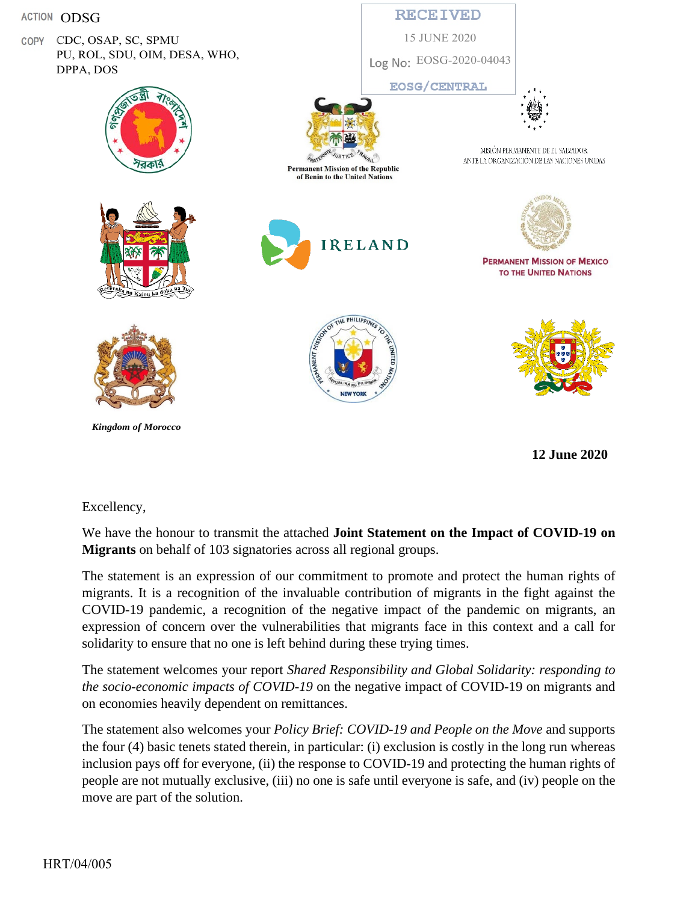

**12 June 2020**

## Excellency,

We have the honour to transmit the attached **Joint Statement on the Impact of COVID-19 on Migrants** on behalf of 103 signatories across all regional groups.

The statement is an expression of our commitment to promote and protect the human rights of migrants. It is a recognition of the invaluable contribution of migrants in the fight against the COVID-19 pandemic, a recognition of the negative impact of the pandemic on migrants, an expression of concern over the vulnerabilities that migrants face in this context and a call for solidarity to ensure that no one is left behind during these trying times.

The statement welcomes your report *Shared Responsibility and Global Solidarity: responding to the socio-economic impacts of COVID-19* on the negative impact of COVID-19 on migrants and on economies heavily dependent on remittances.

The statement also welcomes your *Policy Brief: COVID-19 and People on the Move* and supports the four (4) basic tenets stated therein, in particular: (i) exclusion is costly in the long run whereas inclusion pays off for everyone, (ii) the response to COVID-19 and protecting the human rights of people are not mutually exclusive, (iii) no one is safe until everyone is safe, and (iv) people on the move are part of the solution.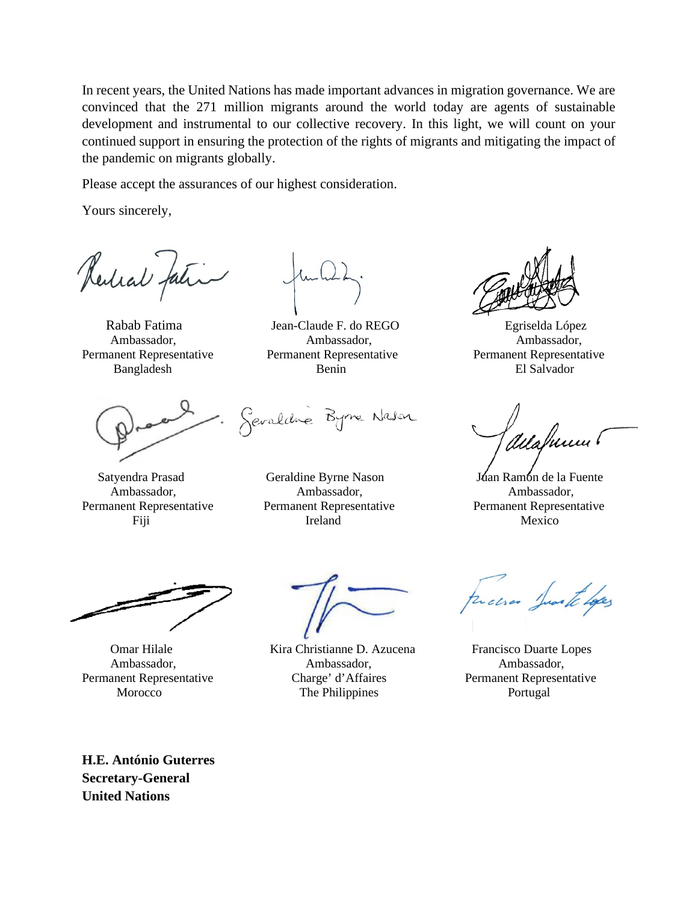In recent years, the United Nations has made important advances in migration governance. We are convinced that the 271 million migrants around the world today are agents of sustainable development and instrumental to our collective recovery. In this light, we will count on your continued support in ensuring the protection of the rights of migrants and mitigating the impact of the pandemic on migrants globally.

Please accept the assurances of our highest consideration.

Yours sincerely,

Redial fation

Rabab Fatima **Implemie F. do REGO** Egriselda López Ambassador, Ambassador, Ambassador, Permanent Representative Permanent Representative Permanent Representative Bangladesh Benin El Salvador

Sevaldre Byrne Nason

 Satyendra Prasad Geraldine Byrne Nason Juan Ramón de la Fuente Ambassador, Ambassador, Ambassador, Permanent Representative Permanent Representative Permanent Representative Fiji Nexico Ireland Mexico

 Omar Hilale Kira Christianne D. Azucena Francisco Duarte Lopes Ambassador, Ambassador, Ambassador, Permanent Representative Charge' d'Affaires Permanent Representative Morocco The Philippines Portugal

auahuum!

recises Junta Lopes

**H.E. António Guterres Secretary-General United Nations**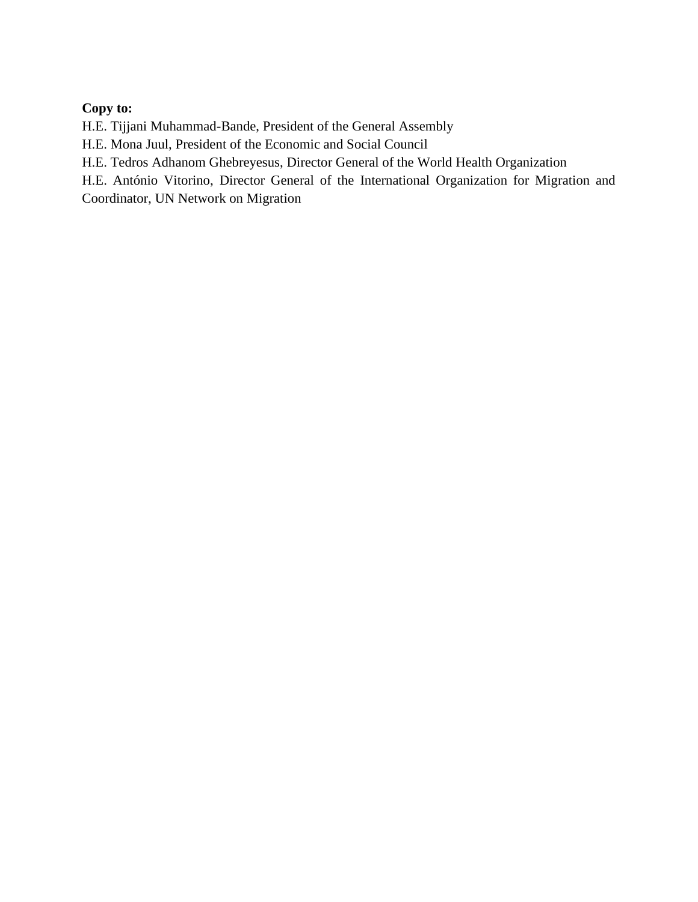## **Copy to:**

H.E. Tijjani Muhammad-Bande, President of the General Assembly

H.E. Mona Juul, President of the Economic and Social Council

H.E. Tedros Adhanom Ghebreyesus, Director General of the World Health Organization

H.E. António Vitorino, Director General of the International Organization for Migration and

Coordinator, UN Network on Migration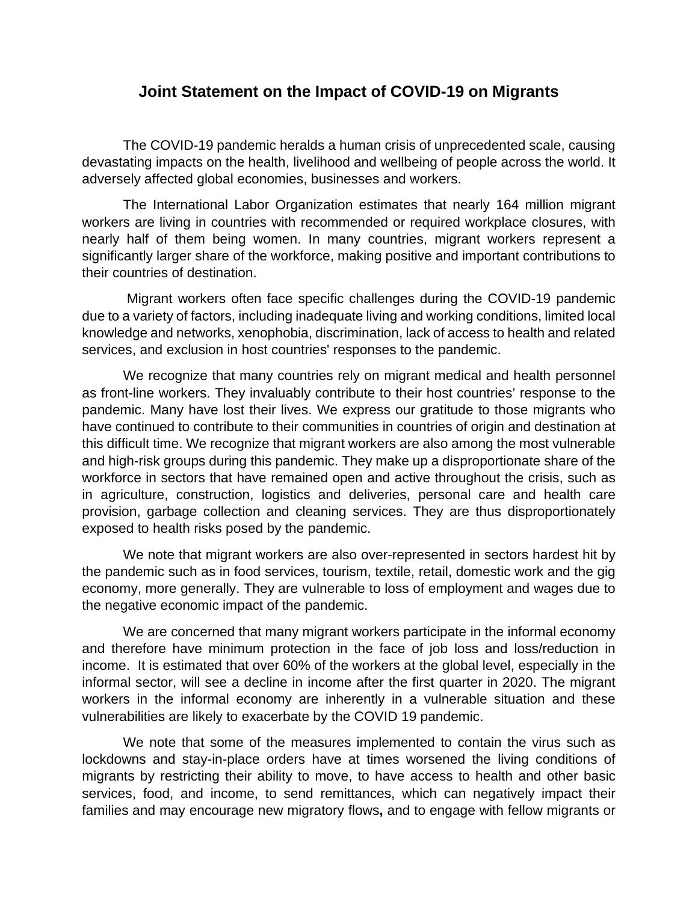## **Joint Statement on the Impact of COVID-19 on Migrants**

The COVID-19 pandemic heralds a human crisis of unprecedented scale, causing devastating impacts on the health, livelihood and wellbeing of people across the world. It adversely affected global economies, businesses and workers.

The International Labor Organization estimates that nearly 164 million migrant workers are living in countries with recommended or required workplace closures, with nearly half of them being women. In many countries, migrant workers represent a significantly larger share of the workforce, making positive and important contributions to their countries of destination.

Migrant workers often face specific challenges during the COVID-19 pandemic due to a variety of factors, including inadequate living and working conditions, limited local knowledge and networks, xenophobia, discrimination, lack of access to health and related services, and exclusion in host countries' responses to the pandemic.

We recognize that many countries rely on migrant medical and health personnel as front-line workers. They invaluably contribute to their host countries' response to the pandemic. Many have lost their lives. We express our gratitude to those migrants who have continued to contribute to their communities in countries of origin and destination at this difficult time. We recognize that migrant workers are also among the most vulnerable and high-risk groups during this pandemic. They make up a disproportionate share of the workforce in sectors that have remained open and active throughout the crisis, such as in agriculture, construction, logistics and deliveries, personal care and health care provision, garbage collection and cleaning services. They are thus disproportionately exposed to health risks posed by the pandemic.

We note that migrant workers are also over-represented in sectors hardest hit by the pandemic such as in food services, tourism, textile, retail, domestic work and the gig economy, more generally. They are vulnerable to loss of employment and wages due to the negative economic impact of the pandemic.

We are concerned that many migrant workers participate in the informal economy and therefore have minimum protection in the face of job loss and loss/reduction in income. It is estimated that over 60% of the workers at the global level, especially in the informal sector, will see a decline in income after the first quarter in 2020. The migrant workers in the informal economy are inherently in a vulnerable situation and these vulnerabilities are likely to exacerbate by the COVID 19 pandemic.

We note that some of the measures implemented to contain the virus such as lockdowns and stay-in-place orders have at times worsened the living conditions of migrants by restricting their ability to move, to have access to health and other basic services, food, and income, to send remittances, which can negatively impact their families and may encourage new migratory flows**,** and to engage with fellow migrants or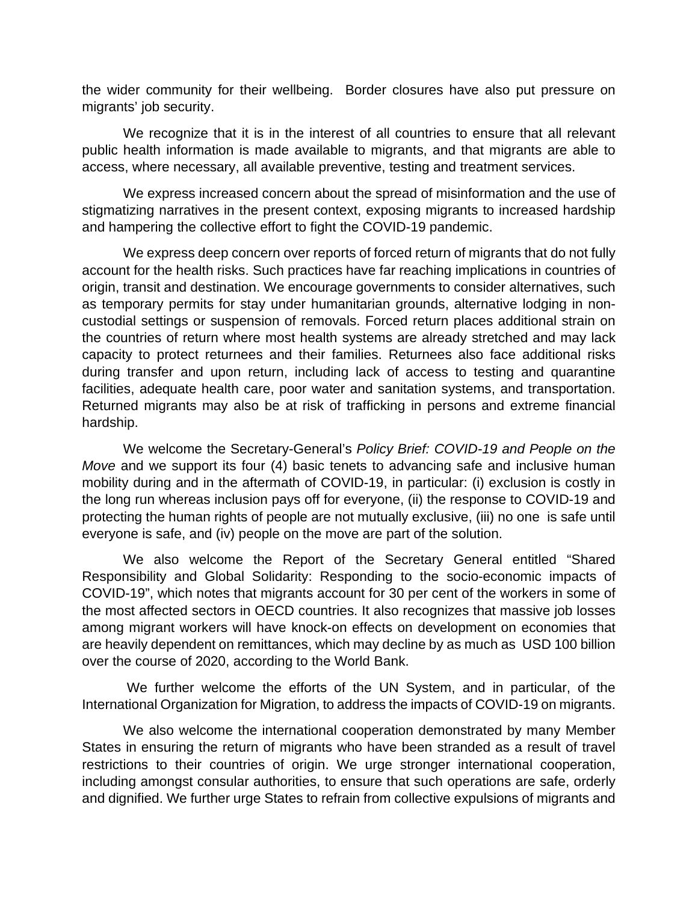the wider community for their wellbeing. Border closures have also put pressure on migrants' job security.

We recognize that it is in the interest of all countries to ensure that all relevant public health information is made available to migrants, and that migrants are able to access, where necessary, all available preventive, testing and treatment services.

We express increased concern about the spread of misinformation and the use of stigmatizing narratives in the present context, exposing migrants to increased hardship and hampering the collective effort to fight the COVID-19 pandemic.

We express deep concern over reports of forced return of migrants that do not fully account for the health risks. Such practices have far reaching implications in countries of origin, transit and destination. We encourage governments to consider alternatives, such as temporary permits for stay under humanitarian grounds, alternative lodging in noncustodial settings or suspension of removals. Forced return places additional strain on the countries of return where most health systems are already stretched and may lack capacity to protect returnees and their families. Returnees also face additional risks during transfer and upon return, including lack of access to testing and quarantine facilities, adequate health care, poor water and sanitation systems, and transportation. Returned migrants may also be at risk of trafficking in persons and extreme financial hardship.

We welcome the Secretary-General's *Policy Brief: COVID-19 and People on the Move* and we support its four (4) basic tenets to advancing safe and inclusive human mobility during and in the aftermath of COVID-19, in particular: (i) exclusion is costly in the long run whereas inclusion pays off for everyone, (ii) the response to COVID-19 and protecting the human rights of people are not mutually exclusive, (iii) no one is safe until everyone is safe, and (iv) people on the move are part of the solution.

We also welcome the Report of the Secretary General entitled "Shared Responsibility and Global Solidarity: Responding to the socio-economic impacts of COVID-19", which notes that migrants account for 30 per cent of the workers in some of the most affected sectors in OECD countries. It also recognizes that massive job losses among migrant workers will have knock-on effects on development on economies that are heavily dependent on remittances, which may decline by as much as USD 100 billion over the course of 2020, according to the World Bank.

We further welcome the efforts of the UN System, and in particular, of the International Organization for Migration, to address the impacts of COVID-19 on migrants.

We also welcome the international cooperation demonstrated by many Member States in ensuring the return of migrants who have been stranded as a result of travel restrictions to their countries of origin. We urge stronger international cooperation, including amongst consular authorities, to ensure that such operations are safe, orderly and dignified. We further urge States to refrain from collective expulsions of migrants and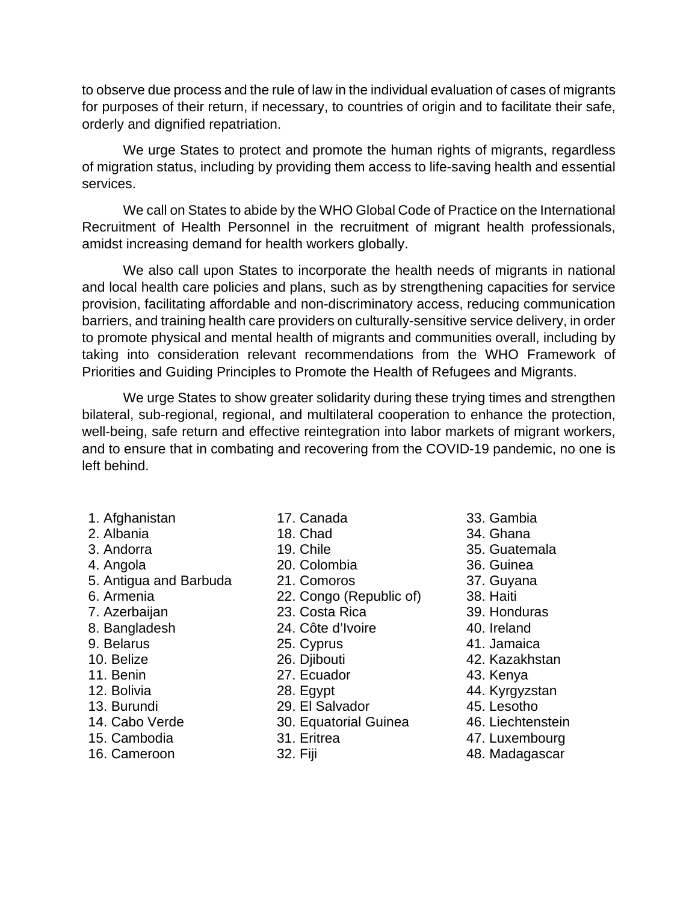to observe due process and the rule of law in the individual evaluation of cases of migrants for purposes of their return, if necessary, to countries of origin and to facilitate their safe, orderly and dignified repatriation.

We urge States to protect and promote the human rights of migrants, regardless of migration status, including by providing them access to life-saving health and essential services.

We call on States to abide by the WHO Global Code of Practice on the International Recruitment of Health Personnel in the recruitment of migrant health professionals, amidst increasing demand for health workers globally.

We also call upon States to incorporate the health needs of migrants in national and local health care policies and plans, such as by strengthening capacities for service provision, facilitating affordable and non-discriminatory access, reducing communication barriers, and training health care providers on culturally-sensitive service delivery, in order to promote physical and mental health of migrants and communities overall, including by taking into consideration relevant recommendations from the WHO Framework of Priorities and Guiding Principles to Promote the Health of Refugees and Migrants.

We urge States to show greater solidarity during these trying times and strengthen bilateral, sub-regional, regional, and multilateral cooperation to enhance the protection, well-being, safe return and effective reintegration into labor markets of migrant workers, and to ensure that in combating and recovering from the COVID-19 pandemic, no one is left behind.

- 1. Afghanistan 17. Canada 33. Gambia
- 
- 
- 
- 5. Antigua and Barbuda 21. Comoros 37. Guyana
- 
- 
- 8. Bangladesh 24. Côte d'Ivoire 40. Ireland
- 9. Belarus 25. Cyprus 41. Jamaica
- 
- 
- 
- 13. Burundi 29. El Salvador 45. Lesotho
- 
- 
- 

- 
- 
- 4. Angola 20. Colombia 36. Guinea
	-
- 6. Armenia 22. Congo (Republic of) 38. Haiti
- 7. Azerbaijan 23. Costa Rica 39. Honduras
	-
	-
	-
	-
	-
	-
	-
	-
	-
	-
- 
- 2. Albania 18. Chad 34. Ghana
- 3. Andorra 19. Chile 35. Guatemala
	-
	-
	-
	-
	-
	-
- 10. Belize 26. Djibouti 42. Kazakhstan
- 11. Benin 27. Ecuador 43. Kenya
- 12. Bolivia **28. Egypt** 12. Bolivia **12. Bolivia** 12. Bolivia 144. Kyrgyzstan
	-
- 14. Cabo Verde 30. Equatorial Guinea 46. Liechtenstein
- 15. Cambodia 31. Eritrea 47. Luxembourg
- 16. Cameroon 32. Fiji 48. Madagascar